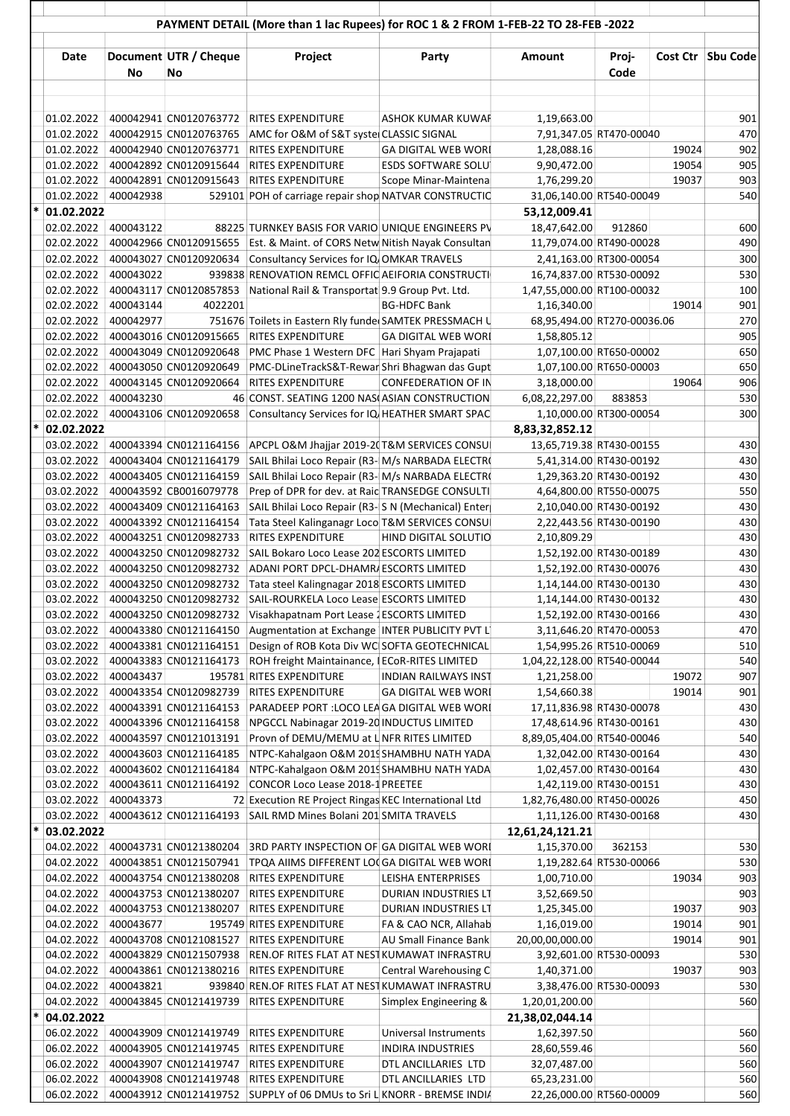|        |                          |           |                                                  | PAYMENT DETAIL (More than 1 lac Rupees) for ROC 1 & 2 FROM 1-FEB-22 TO 28-FEB -2022  |                                            |                                                    |               |       |                     |
|--------|--------------------------|-----------|--------------------------------------------------|--------------------------------------------------------------------------------------|--------------------------------------------|----------------------------------------------------|---------------|-------|---------------------|
|        | Date                     | No        | Document UTR / Cheque<br>No                      | Project                                                                              | Party                                      | Amount                                             | Proj-<br>Code |       | Cost Ctr   Sbu Code |
|        |                          |           |                                                  |                                                                                      |                                            |                                                    |               |       |                     |
|        | 01.02.2022               |           |                                                  | 400042941 CN0120763772 RITES EXPENDITURE                                             | ASHOK KUMAR KUWAF                          | 1,19,663.00                                        |               |       | 901                 |
|        | 01.02.2022               |           | 400042915 CN0120763765                           | AMC for O&M of S&T syste CLASSIC SIGNAL                                              |                                            | 7,91,347.05 RT470-00040                            |               |       | 470                 |
|        | 01.02.2022               |           | 400042940 CN0120763771                           | <b>RITES EXPENDITURE</b>                                                             | <b>GA DIGITAL WEB WORL</b>                 | 1,28,088.16                                        |               | 19024 | 902                 |
|        | 01.02.2022               |           | 400042892 CN0120915644                           | <b>RITES EXPENDITURE</b>                                                             | <b>ESDS SOFTWARE SOLU</b>                  | 9,90,472.00                                        |               | 19054 | 905                 |
|        | 01.02.2022               |           | 400042891 CN0120915643                           | <b>RITES EXPENDITURE</b>                                                             | Scope Minar-Maintena                       | 1,76,299.20                                        |               | 19037 | 903                 |
| $\ast$ | 01.02.2022               | 400042938 |                                                  | 529101 POH of carriage repair shop NATVAR CONSTRUCTIC                                |                                            | 31,06,140.00 RT540-00049                           |               |       | 540                 |
|        | 01.02.2022<br>02.02.2022 | 400043122 |                                                  | 88225 TURNKEY BASIS FOR VARIO UNIQUE ENGINEERS PV                                    |                                            | 53,12,009.41<br>18,47,642.00                       | 912860        |       | 600                 |
|        | 02.02.2022               |           | 400042966 CN0120915655                           | Est. & Maint. of CORS Netw Nitish Nayak Consultan                                    |                                            | 11,79,074.00 RT490-00028                           |               |       | 490                 |
|        | 02.02.2022               |           | 400043027 CN0120920634                           | Consultancy Services for IQ OMKAR TRAVELS                                            |                                            | 2,41,163.00 RT300-00054                            |               |       | 300                 |
|        | 02.02.2022               | 400043022 |                                                  | 939838 RENOVATION REMCL OFFIC AEIFORIA CONSTRUCTI                                    |                                            | 16,74,837.00 RT530-00092                           |               |       | 530                 |
|        | 02.02.2022               |           | 400043117 CN0120857853                           | National Rail & Transportat 9.9 Group Pvt. Ltd.                                      |                                            | 1,47,55,000.00 RT100-00032                         |               |       | 100                 |
|        | 02.02.2022               | 400043144 | 4022201                                          |                                                                                      | <b>BG-HDFC Bank</b>                        | 1,16,340.00                                        |               | 19014 | 901                 |
|        | 02.02.2022               | 400042977 |                                                  | 751676 Toilets in Eastern Rly funder SAMTEK PRESSMACH U                              |                                            | 68,95,494.00 RT270-00036.06                        |               |       | 270                 |
|        | 02.02.2022               |           | 400043016 CN0120915665                           | RITES EXPENDITURE                                                                    | <b>GA DIGITAL WEB WORL</b>                 | 1,58,805.12                                        |               |       | 905                 |
|        | 02.02.2022               |           | 400043049 CN0120920648                           | PMC Phase 1 Western DFC Hari Shyam Prajapati                                         |                                            | 1,07,100.00 RT650-00002                            |               |       | 650                 |
|        | 02.02.2022               |           | 400043050 CN0120920649                           | PMC-DLineTrackS&T-Rewar Shri Bhagwan das Gupt                                        |                                            | 1,07,100.00 RT650-00003                            |               |       | 650                 |
|        | 02.02.2022               |           | 400043145 CN0120920664                           | <b>RITES EXPENDITURE</b>                                                             | <b>CONFEDERATION OF IN</b>                 | 3,18,000.00                                        |               | 19064 | 906                 |
|        | 02.02.2022               | 400043230 |                                                  | 46 CONST. SEATING 1200 NAS(ASIAN CONSTRUCTION                                        |                                            | 6,08,22,297.00                                     | 883853        |       | 530                 |
|        |                          |           | 02.02.2022 400043106 CN0120920658                | Consultancy Services for IQ HEATHER SMART SPAC                                       |                                            | 1,10,000.00 RT300-00054                            |               |       | 300                 |
| $\ast$ | 02.02.2022               |           |                                                  |                                                                                      |                                            | 8,83,32,852.12                                     |               |       |                     |
|        |                          |           | 03.02.2022   400043394 CN0121164156              | APCPL O&M Jhajjar 2019-2(T&M SERVICES CONSU                                          |                                            | 13,65,719.38 RT430-00155                           |               |       | 430                 |
|        |                          |           | 03.02.2022   400043404 CN0121164179              | SAIL Bhilai Loco Repair (R3- M/s NARBADA ELECTRO                                     |                                            | 5,41,314.00 RT430-00192                            |               |       | 430                 |
|        | 03.02.2022               |           | 400043405 CN0121164159                           | SAIL Bhilai Loco Repair (R3- M/s NARBADA ELECTRO                                     |                                            | 1,29,363.20 RT430-00192                            |               |       | 430                 |
|        | 03.02.2022               |           | 400043592 CB0016079778                           | Prep of DPR for dev. at Raic TRANSEDGE CONSULTI                                      |                                            | 4,64,800.00 RT550-00075                            |               |       | 550                 |
|        | 03.02.2022               |           | 400043409 CN0121164163                           | SAIL Bhilai Loco Repair (R3-S N (Mechanical) Enter                                   |                                            | 2,10,040.00 RT430-00192                            |               |       | 430                 |
|        | 03.02.2022               |           | 400043392 CN0121164154                           | Tata Steel Kalinganagr Loco T&M SERVICES CONSU                                       |                                            | 2,22,443.56 RT430-00190                            |               |       | 430                 |
|        | 03.02.2022               |           | 400043251 CN0120982733                           | RITES EXPENDITURE                                                                    | HIND DIGITAL SOLUTIO                       | 2,10,809.29                                        |               |       | 430                 |
|        | 03.02.2022               |           | 400043250 CN0120982732<br>400043250 CN0120982732 | SAIL Bokaro Loco Lease 202 ESCORTS LIMITED                                           |                                            | 1,52,192.00 RT430-00189                            |               |       | 430                 |
|        | 03.02.2022               |           | 03.02.2022 400043250 CN0120982732                | ADANI PORT DPCL-DHAMR/ESCORTS LIMITED<br>Tata steel Kalingnagar 2018 ESCORTS LIMITED |                                            | 1,52,192.00 RT430-00076<br>1,14,144.00 RT430-00130 |               |       | 430<br>430          |
|        | 03.02.2022               |           | 400043250 CN0120982732                           | SAIL-ROURKELA Loco Lease ESCORTS LIMITED                                             |                                            | 1,14,144.00 RT430-00132                            |               |       | 430                 |
|        | 03.02.2022               |           | 400043250 CN0120982732                           | Visakhapatnam Port Lease 2ESCORTS LIMITED                                            |                                            | 1,52,192.00 RT430-00166                            |               |       | 430                 |
|        | 03.02.2022               |           | 400043380 CN0121164150                           | Augmentation at Exchange   INTER PUBLICITY PVT L'                                    |                                            | 3,11,646.20 RT470-00053                            |               |       | 470                 |
|        | 03.02.2022               |           | 400043381 CN0121164151                           | Design of ROB Kota Div WC SOFTA GEOTECHNICAL                                         |                                            | 1,54,995.26 RT510-00069                            |               |       | 510                 |
|        | 03.02.2022               |           | 400043383 CN0121164173                           | ROH freight Maintainance, I ECoR-RITES LIMITED                                       |                                            | 1,04,22,128.00 RT540-00044                         |               |       | 540                 |
|        | 03.02.2022               | 400043437 |                                                  | 195781 RITES EXPENDITURE                                                             | <b>INDIAN RAILWAYS INST</b>                | 1,21,258.00                                        |               | 19072 | 907                 |
|        | 03.02.2022               |           | 400043354 CN0120982739                           | RITES EXPENDITURE                                                                    | <b>GA DIGITAL WEB WORL</b>                 | 1,54,660.38                                        |               | 19014 | 901                 |
|        | 03.02.2022               |           | 400043391 CN0121164153                           | PARADEEP PORT : LOCO LEA GA DIGITAL WEB WORL                                         |                                            | 17,11,836.98 RT430-00078                           |               |       | 430                 |
|        | 03.02.2022               |           | 400043396 CN0121164158                           | NPGCCL Nabinagar 2019-20 INDUCTUS LIMITED                                            |                                            | 17,48,614.96 RT430-00161                           |               |       | 430                 |
|        | 03.02.2022               |           | 400043597 CN0121013191                           | Provn of DEMU/MEMU at L NFR RITES LIMITED                                            |                                            | 8,89,05,404.00 RT540-00046                         |               |       | 540                 |
|        | 03.02.2022               |           | 400043603 CN0121164185                           | NTPC-Kahalgaon O&M 2019 SHAMBHU NATH YADA                                            |                                            | 1,32,042.00 RT430-00164                            |               |       | 430                 |
|        | 03.02.2022               |           | 400043602 CN0121164184                           | NTPC-Kahalgaon O&M 2019 SHAMBHU NATH YADA                                            |                                            | 1,02,457.00 RT430-00164                            |               |       | 430                 |
|        | 03.02.2022               |           | 400043611 CN0121164192                           | CONCOR Loco Lease 2018-1 PREETEE                                                     |                                            | 1,42,119.00 RT430-00151                            |               |       | 430                 |
|        | 03.02.2022               | 400043373 |                                                  | 72 Execution RE Project Ringas KEC International Ltd                                 |                                            | 1,82,76,480.00 RT450-00026                         |               |       | 450                 |
| $\ast$ | 03.02.2022               |           | 400043612 CN0121164193                           | SAIL RMD Mines Bolani 201 SMITA TRAVELS                                              |                                            | 1,11,126.00 RT430-00168                            |               |       | 430                 |
|        | 03.02.2022               |           |                                                  |                                                                                      |                                            | 12,61,24,121.21                                    |               |       |                     |
|        | 04.02.2022               |           | 400043731 CN0121380204                           | 3RD PARTY INSPECTION OF GA DIGITAL WEB WORL                                          |                                            | 1,15,370.00                                        | 362153        |       | 530                 |
|        | 04.02.2022               |           | 400043851 CN0121507941                           | TPQA AIIMS DIFFERENT LO(GA DIGITAL WEB WORL                                          |                                            | 1,19,282.64 RT530-00066                            |               |       | 530                 |
|        | 04.02.2022<br>04.02.2022 |           | 400043754 CN0121380208<br>400043753 CN0121380207 | <b>RITES EXPENDITURE</b><br><b>RITES EXPENDITURE</b>                                 | LEISHA ENTERPRISES<br>DURIAN INDUSTRIES LT | 1,00,710.00                                        |               | 19034 | 903<br>903          |
|        | 04.02.2022               |           | 400043753 CN0121380207                           | <b>RITES EXPENDITURE</b>                                                             | DURIAN INDUSTRIES LT                       | 3,52,669.50<br>1,25,345.00                         |               | 19037 | 903                 |
|        | 04.02.2022               | 400043677 |                                                  | 195749 RITES EXPENDITURE                                                             | FA & CAO NCR, Allahab                      | 1,16,019.00                                        |               | 19014 | 901                 |
|        | 04.02.2022               |           | 400043708 CN0121081527                           | <b>RITES EXPENDITURE</b>                                                             | <b>AU Small Finance Bank</b>               | 20,00,00,000.00                                    |               | 19014 | 901                 |
|        | 04.02.2022               |           | 400043829 CN0121507938                           | REN.OF RITES FLAT AT NEST KUMAWAT INFRASTRU                                          |                                            | 3,92,601.00 RT530-00093                            |               |       | 530                 |
|        | 04.02.2022               |           | 400043861 CN0121380216                           | <b>RITES EXPENDITURE</b>                                                             | Central Warehousing C                      | 1,40,371.00                                        |               | 19037 | 903                 |
|        | 04.02.2022               | 400043821 |                                                  | 939840 REN.OF RITES FLAT AT NEST KUMAWAT INFRASTRU                                   |                                            | 3,38,476.00 RT530-00093                            |               |       | 530                 |
|        | 04.02.2022               |           | 400043845 CN0121419739                           | RITES EXPENDITURE                                                                    | Simplex Engineering &                      | 1,20,01,200.00                                     |               |       | 560                 |
| $\ast$ | 04.02.2022               |           |                                                  |                                                                                      |                                            | 21,38,02,044.14                                    |               |       |                     |
|        | 06.02.2022               |           | 400043909 CN0121419749                           | <b>RITES EXPENDITURE</b>                                                             | Universal Instruments                      | 1,62,397.50                                        |               |       | 560                 |
|        | 06.02.2022               |           | 400043905 CN0121419745                           | <b>RITES EXPENDITURE</b>                                                             | <b>INDIRA INDUSTRIES</b>                   | 28,60,559.46                                       |               |       | 560                 |
|        | 06.02.2022               |           | 400043907 CN0121419747                           | RITES EXPENDITURE                                                                    | DTL ANCILLARIES LTD                        | 32,07,487.00                                       |               |       | 560                 |
|        | 06.02.2022               |           | 400043908 CN0121419748                           | <b>RITES EXPENDITURE</b>                                                             | DTL ANCILLARIES LTD                        | 65,23,231.00                                       |               |       | 560                 |
|        | 06.02.2022               |           |                                                  | 400043912 CN0121419752 SUPPLY of 06 DMUs to Sri L KNORR - BREMSE INDIA               |                                            | 22,26,000.00 RT560-00009                           |               |       | 560                 |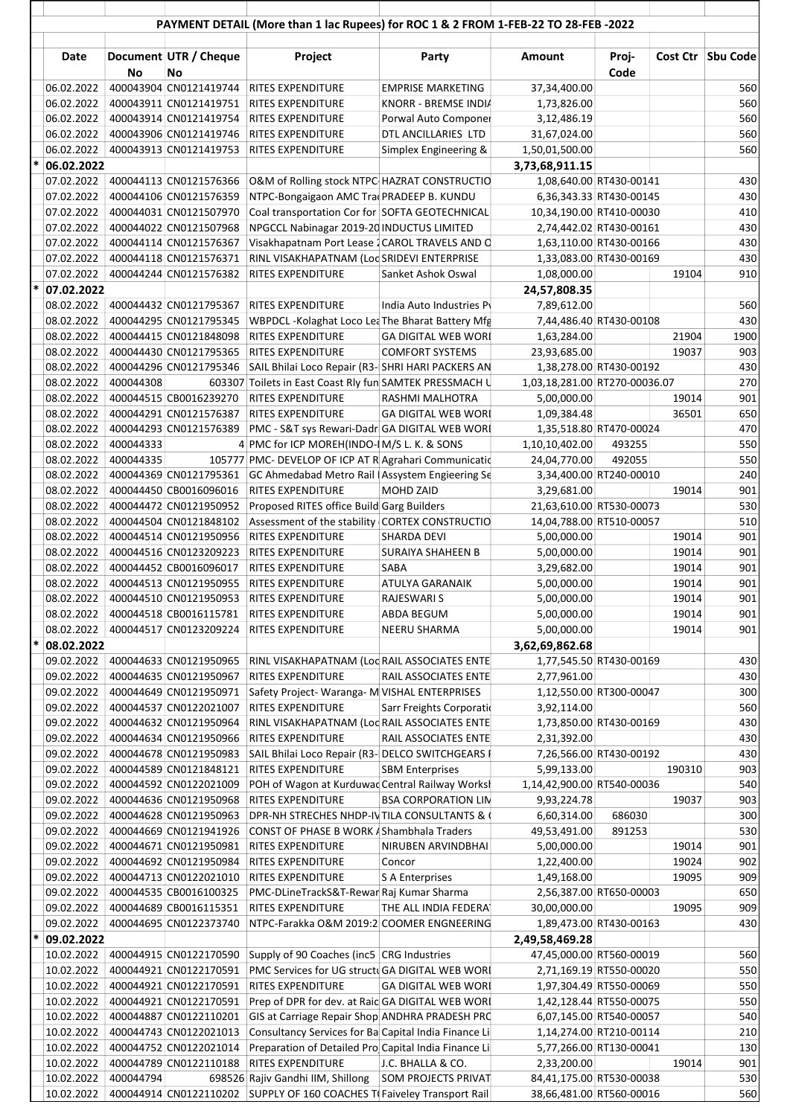|        |                          |           |                                                               | PAYMENT DETAIL (More than 1 lac Rupees) for ROC 1 & 2 FROM 1-FEB-22 TO 28-FEB -2022                    |                            |                                                    |               |        |                     |
|--------|--------------------------|-----------|---------------------------------------------------------------|--------------------------------------------------------------------------------------------------------|----------------------------|----------------------------------------------------|---------------|--------|---------------------|
|        | Date                     | No        | Document UTR / Cheque<br>No                                   | Project                                                                                                | Party                      | Amount                                             | Proj-<br>Code |        | Cost Ctr   Sbu Code |
|        | 06.02.2022               |           | 400043904 CN0121419744                                        | RITES EXPENDITURE                                                                                      | <b>EMPRISE MARKETING</b>   | 37,34,400.00                                       |               |        | 560                 |
|        | 06.02.2022               |           | 400043911 CN0121419751                                        | RITES EXPENDITURE                                                                                      | KNORR - BREMSE INDIA       | 1,73,826.00                                        |               |        | 560                 |
|        | 06.02.2022               |           | 400043914 CN0121419754                                        | RITES EXPENDITURE                                                                                      | Porwal Auto Componer       | 3,12,486.19                                        |               |        | 560                 |
|        | 06.02.2022               |           | 400043906 CN0121419746                                        | RITES EXPENDITURE                                                                                      | DTL ANCILLARIES LTD        | 31,67,024.00                                       |               |        | 560                 |
|        |                          |           | 06.02.2022 400043913 CN0121419753                             | RITES EXPENDITURE                                                                                      | Simplex Engineering &      | 1,50,01,500.00                                     |               |        | 560                 |
| $\ast$ | 06.02.2022               |           |                                                               |                                                                                                        |                            | 3,73,68,911.15                                     |               |        |                     |
|        |                          |           | 07.02.2022 400044113 CN0121576366                             | O&M of Rolling stock NTPC HAZRAT CONSTRUCTIO                                                           |                            | 1,08,640.00 RT430-00141                            |               |        | 430                 |
|        |                          |           | 07.02.2022 400044106 CN0121576359                             | NTPC-Bongaigaon AMC TradPRADEEP B. KUNDU                                                               |                            | 6,36,343.33 RT430-00145                            |               |        | 430                 |
|        | 07.02.2022               |           | 400044031 CN0121507970                                        | Coal transportation Cor for SOFTA GEOTECHNICAL                                                         |                            | 10,34,190.00 RT410-00030                           |               |        | 410                 |
|        | 07.02.2022               |           | 400044022 CN0121507968                                        | NPGCCL Nabinagar 2019-20 INDUCTUS LIMITED                                                              |                            | 2,74,442.02 RT430-00161                            |               |        | 430                 |
|        | 07.02.2022<br>07.02.2022 |           | 400044114 CN0121576367<br>400044118 CN0121576371              | Visakhapatnam Port Lease 2 CAROL TRAVELS AND C<br>RINL VISAKHAPATNAM (Loc SRIDEVI ENTERPRISE           |                            | 1,63,110.00 RT430-00166<br>1,33,083.00 RT430-00169 |               |        | 430<br>430          |
|        | 07.02.2022               |           | 400044244 CN0121576382                                        | RITES EXPENDITURE                                                                                      | Sanket Ashok Oswal         | 1,08,000.00                                        |               | 19104  | 910                 |
|        | 07.02.2022               |           |                                                               |                                                                                                        |                            | 24,57,808.35                                       |               |        |                     |
|        |                          |           | 08.02.2022 400044432 CN0121795367                             | RITES EXPENDITURE                                                                                      | India Auto Industries P    | 7,89,612.00                                        |               |        | 560                 |
|        | 08.02.2022               |           | 400044295 CN0121795345                                        | WBPDCL-Kolaghat Loco Lea The Bharat Battery Mfg                                                        |                            | 7,44,486.40 RT430-00108                            |               |        | 430                 |
|        | 08.02.2022               |           | 400044415 CN0121848098                                        | RITES EXPENDITURE                                                                                      | <b>GA DIGITAL WEB WORL</b> | 1,63,284.00                                        |               | 21904  | 1900                |
|        | 08.02.2022               |           | 400044430 CN0121795365                                        | RITES EXPENDITURE                                                                                      | <b>COMFORT SYSTEMS</b>     | 23,93,685.00                                       |               | 19037  | 903                 |
|        | 08.02.2022               |           | 400044296 CN0121795346                                        | SAIL Bhilai Loco Repair (R3-SHRI HARI PACKERS AN                                                       |                            | 1,38,278.00 RT430-00192                            |               |        | 430                 |
|        | 08.02.2022               | 400044308 |                                                               | 603307 Toilets in East Coast Rly fun SAMTEK PRESSMACH U                                                |                            | 1,03,18,281.00 RT270-00036.07                      |               |        | 270                 |
|        | 08.02.2022               |           | 400044515 CB0016239270                                        | RITES EXPENDITURE                                                                                      | RASHMI MALHOTRA            | 5,00,000.00                                        |               | 19014  | 901                 |
|        | 08.02.2022               |           | 400044291 CN0121576387                                        | RITES EXPENDITURE                                                                                      | <b>GA DIGITAL WEB WORL</b> | 1,09,384.48                                        |               | 36501  | 650                 |
|        | 08.02.2022               |           | 400044293 CN0121576389                                        | PMC - S&T sys Rewari-Dadr GA DIGITAL WEB WORI                                                          |                            | 1,35,518.80 RT470-00024                            |               |        | 470                 |
|        | 08.02.2022               | 400044333 |                                                               | 4 PMC for ICP MOREH(INDO-IM/S L. K. & SONS                                                             |                            | 1,10,10,402.00                                     | 493255        |        | 550                 |
|        | 08.02.2022 400044335     |           |                                                               | 105777 PMC- DEVELOP OF ICP AT R Agrahari Communicatio                                                  |                            | 24,04,770.00                                       | 492055        |        | 550                 |
|        |                          |           | 08.02.2022 400044369 CN0121795361                             | GC Ahmedabad Metro Rail   Assystem Engieering Se                                                       |                            | 3,34,400.00 RT240-00010                            |               |        | 240                 |
|        | 08.02.2022               |           | 400044450 CB0016096016                                        | RITES EXPENDITURE                                                                                      | MOHD ZAID                  | 3,29,681.00                                        |               | 19014  | 901                 |
|        | 08.02.2022               |           | 400044472 CN0121950952                                        | Proposed RITES office Build Garg Builders                                                              |                            | 21,63,610.00 RT530-00073                           |               |        | 530                 |
|        | 08.02.2022<br>08.02.2022 |           | 400044504 CN0121848102<br>400044514 CN0121950956              | Assessment of the stability CORTEX CONSTRUCTIO<br><b>RITES EXPENDITURE</b>                             | SHARDA DEVI                | 14,04,788.00 RT510-00057<br>5,00,000.00            |               | 19014  | 510<br>901          |
|        | 08.02.2022               |           | 400044516 CN0123209223                                        | RITES EXPENDITURE                                                                                      | SURAIYA SHAHEEN B          | 5,00,000.00                                        |               | 19014  | 901                 |
|        | 08.02.2022               |           | 400044452 CB0016096017                                        | RITES EXPENDITURE                                                                                      | SABA                       | 3,29,682.00                                        |               | 19014  | 901                 |
|        | 08.02.2022               |           | 400044513 CN0121950955                                        | RITES EXPENDITURE                                                                                      | <b>ATULYA GARANAIK</b>     | 5,00,000.00                                        |               | 19014  | 901                 |
|        | 08.02.2022               |           | 400044510 CN0121950953                                        | RITES EXPENDITURE                                                                                      | RAJESWARI S                | 5,00,000.00                                        |               | 19014  | 901                 |
|        | 08.02.2022               |           | 400044518 CB0016115781                                        | <b>RITES EXPENDITURE</b>                                                                               | ABDA BEGUM                 | 5,00,000.00                                        |               | 19014  | 901                 |
|        | 08.02.2022               |           | 400044517 CN0123209224                                        | RITES EXPENDITURE                                                                                      | NEERU SHARMA               | 5,00,000.00                                        |               | 19014  | 901 <b> </b>        |
|        | 08.02.2022               |           |                                                               |                                                                                                        |                            | 3,62,69,862.68                                     |               |        |                     |
|        | 09.02.2022               |           | 400044633 CN0121950965                                        | RINL VISAKHAPATNAM (Loc RAIL ASSOCIATES ENTE                                                           |                            | 1,77,545.50 RT430-00169                            |               |        | 430                 |
|        | 09.02.2022               |           | 400044635 CN0121950967                                        | RITES EXPENDITURE                                                                                      | RAIL ASSOCIATES ENTE       | 2,77,961.00                                        |               |        | 430                 |
|        | 09.02.2022               |           | 400044649 CN0121950971                                        | Safety Project-Waranga-M VISHAL ENTERPRISES                                                            |                            | 1,12,550.00 RT300-00047                            |               |        | 300                 |
|        | 09.02.2022               |           | 400044537 CN0122021007                                        | RITES EXPENDITURE                                                                                      | Sarr Freights Corporatio   | 3,92,114.00                                        |               |        | 560                 |
|        | 09.02.2022               |           | 400044632 CN0121950964                                        | RINL VISAKHAPATNAM (Loc RAIL ASSOCIATES ENTE                                                           |                            | 1,73,850.00 RT430-00169                            |               |        | 430                 |
|        |                          |           | 09.02.2022   400044634 CN0121950966                           | RITES EXPENDITURE                                                                                      | RAIL ASSOCIATES ENTE       | 2,31,392.00                                        |               |        | 430                 |
|        |                          |           | 09.02.2022   400044678 CN0121950983                           | SAIL Bhilai Loco Repair (R3- DELCO SWITCHGEARS I                                                       |                            | 7,26,566.00 RT430-00192                            |               |        | 430                 |
|        | 09.02.2022               |           | 09.02.2022   400044589 CN0121848121<br>400044592 CN0122021009 | RITES EXPENDITURE<br>POH of Wagon at Kurduwac Central Railway Worksh                                   | <b>SBM Enterprises</b>     | 5,99,133.00<br>1,14,42,900.00 RT540-00036          |               | 190310 | 903<br>540          |
|        | 09.02.2022               |           | 400044636 CN0121950968                                        | RITES EXPENDITURE                                                                                      | <b>BSA CORPORATION LIN</b> | 9,93,224.78                                        |               | 19037  | 903                 |
|        | 09.02.2022               |           | 400044628 CN0121950963                                        | DPR-NH STRECHES NHDP-IV TILA CONSULTANTS & (                                                           |                            | 6,60,314.00                                        | 686030        |        | 300                 |
|        | 09.02.2022               |           | 400044669 CN0121941926                                        | CONST OF PHASE B WORK / Shambhala Traders                                                              |                            | 49,53,491.00                                       | 891253        |        | 530                 |
|        | 09.02.2022               |           | 400044671 CN0121950981                                        | RITES EXPENDITURE                                                                                      | NIRUBEN ARVINDBHAI         | 5,00,000.00                                        |               | 19014  | 901                 |
|        | 09.02.2022               |           | 400044692 CN0121950984                                        | RITES EXPENDITURE                                                                                      | Concor                     | 1,22,400.00                                        |               | 19024  | 902                 |
|        | 09.02.2022               |           | 400044713 CN0122021010                                        | RITES EXPENDITURE                                                                                      | S A Enterprises            | 1,49,168.00                                        |               | 19095  | 909                 |
|        | 09.02.2022               |           | 400044535 CB0016100325                                        | PMC-DLineTrackS&T-Rewar Raj Kumar Sharma                                                               |                            | 2,56,387.00 RT650-00003                            |               |        | 650                 |
|        | 09.02.2022               |           | 400044689 CB0016115351                                        | RITES EXPENDITURE                                                                                      | THE ALL INDIA FEDERAT      | 30,00,000.00                                       |               | 19095  | 909                 |
|        | 09.02.2022               |           | 400044695 CN0122373740                                        | NTPC-Farakka O&M 2019:2 COOMER ENGNEERING                                                              |                            | 1,89,473.00 RT430-00163                            |               |        | 430                 |
|        | 09.02.2022               |           |                                                               |                                                                                                        |                            | 2,49,58,469.28                                     |               |        |                     |
|        | 10.02.2022               |           | 400044915 CN0122170590                                        | Supply of 90 Coaches (inc5 CRG Industries                                                              |                            | 47,45,000.00 RT560-00019                           |               |        | 560                 |
|        | 10.02.2022               |           | 400044921 CN0122170591                                        | PMC Services for UG structuGA DIGITAL WEB WORL                                                         |                            | 2,71,169.19 RT550-00020                            |               |        | 550                 |
|        | 10.02.2022               |           | 400044921 CN0122170591                                        | RITES EXPENDITURE                                                                                      | <b>GA DIGITAL WEB WORI</b> | 1,97,304.49 RT550-00069                            |               |        | 550                 |
|        | 10.02.2022               |           | 400044921 CN0122170591                                        | Prep of DPR for dev. at Raic GA DIGITAL WEB WORL                                                       |                            | 1,42,128.44 RT550-00075                            |               |        | 550<br>540          |
|        | 10.02.2022               |           | 400044887 CN0122110201<br>10.02.2022 400044743 CN0122021013   | GIS at Carriage Repair Shop ANDHRA PRADESH PRO<br>Consultancy Services for Ba Capital India Finance Li |                            | 6,07,145.00 RT540-00057<br>1,14,274.00 RT210-00114 |               |        | 210                 |
|        | 10.02.2022               |           | 400044752 CN0122021014                                        | Preparation of Detailed Pro Capital India Finance Li                                                   |                            | 5,77,266.00 RT130-00041                            |               |        | 130                 |
|        | 10.02.2022               |           | 400044789 CN0122110188                                        | RITES EXPENDITURE                                                                                      | J.C. BHALLA & CO.          | 2,33,200.00                                        |               | 19014  | 901                 |
|        | 10.02.2022               | 400044794 |                                                               | 698526 Rajiv Gandhi IIM, Shillong                                                                      | <b>SOM PROJECTS PRIVAT</b> | 84,41,175.00 RT530-00038                           |               |        | 530                 |
|        | 10.02.2022               |           |                                                               | 400044914 CN0122110202 SUPPLY OF 160 COACHES T(Faiveley Transport Rail                                 |                            | 38,66,481.00 RT560-00016                           |               |        | 560                 |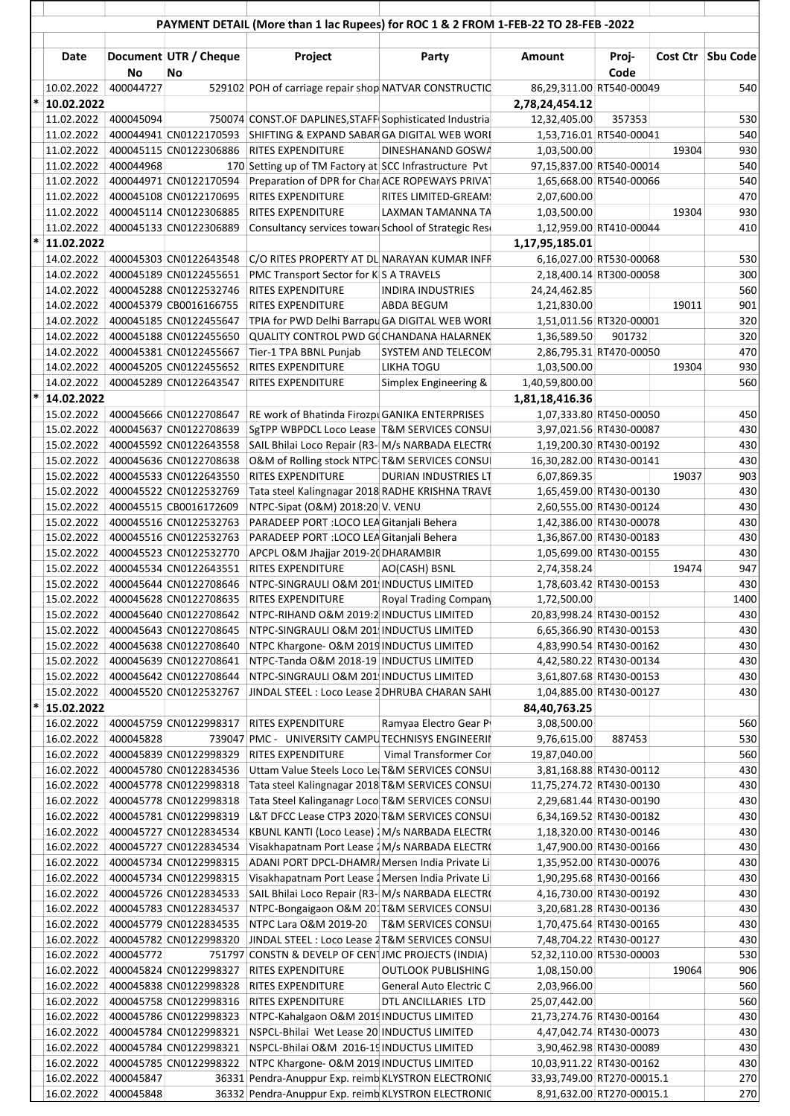|        | PAYMENT DETAIL (More than 1 lac Rupees) for ROC 1 & 2 FROM 1-FEB-22 TO 28-FEB -2022 |           |                                                               |                                                                                                   |                               |                                                    |                         |       |                   |
|--------|-------------------------------------------------------------------------------------|-----------|---------------------------------------------------------------|---------------------------------------------------------------------------------------------------|-------------------------------|----------------------------------------------------|-------------------------|-------|-------------------|
|        | Date                                                                                | <b>No</b> | Document UTR / Cheque<br>No                                   | Project                                                                                           | Party                         | Amount                                             | Proj-<br>Code           |       | Cost Ctr Sbu Code |
|        | 10.02.2022                                                                          | 400044727 |                                                               | 529102 POH of carriage repair shop NATVAR CONSTRUCTIO                                             |                               | 86,29,311.00 RT540-00049                           |                         |       | 540               |
|        | 10.02.2022                                                                          |           |                                                               |                                                                                                   |                               | 2,78,24,454.12                                     |                         |       |                   |
|        | 11.02.2022 400045094                                                                |           |                                                               | 750074 CONST.OF DAPLINES, STAFF Sophisticated Industria                                           |                               | 12,32,405.00                                       | 357353                  |       | 530               |
|        |                                                                                     |           | 11.02.2022 400044941 CN0122170593                             | SHIFTING & EXPAND SABAR GA DIGITAL WEB WORL                                                       |                               | 1,53,716.01 RT540-00041                            |                         |       | 540               |
|        | 11.02.2022                                                                          |           | 400045115 CN0122306886                                        | <b>RITES EXPENDITURE</b>                                                                          | DINESHANAND GOSWA             | 1,03,500.00                                        |                         | 19304 | 930               |
|        | 11.02.2022                                                                          | 400044968 |                                                               | 170 Setting up of TM Factory at SCC Infrastructure Pvt                                            |                               | 97,15,837.00 RT540-00014                           |                         |       | 540               |
|        | 11.02.2022                                                                          |           | 400044971 CN0122170594                                        | Preparation of DPR for Char ACE ROPEWAYS PRIVAT                                                   |                               | 1,65,668.00 RT540-00066                            |                         |       | 540               |
|        | 11.02.2022                                                                          |           | 400045108 CN0122170695                                        | RITES EXPENDITURE                                                                                 | RITES LIMITED-GREAM!          | 2,07,600.00                                        |                         |       | 470               |
|        | 11.02.2022                                                                          |           | 400045114 CN0122306885                                        | RITES EXPENDITURE                                                                                 | LAXMAN TAMANNA TA             | 1,03,500.00                                        |                         | 19304 | 930               |
|        | 11.02.2022                                                                          |           | 400045133 CN0122306889                                        | Consultancy services toward School of Strategic Reso                                              |                               | 1,12,959.00 RT410-00044                            |                         |       | 410               |
|        | 11.02.2022                                                                          |           |                                                               |                                                                                                   |                               | 1,17,95,185.01                                     |                         |       |                   |
|        | 14.02.2022                                                                          |           | 400045303 CN0122643548                                        | C/O RITES PROPERTY AT DL NARAYAN KUMAR INFR                                                       |                               | 6,16,027.00 RT530-00068                            |                         |       | 530               |
|        | 14.02.2022                                                                          |           | 400045189 CN0122455651                                        | PMC Transport Sector for K S A TRAVELS                                                            |                               | 2,18,400.14 RT300-00058                            |                         |       | 300               |
|        | 14.02.2022                                                                          |           | 400045288 CN0122532746                                        | <b>RITES EXPENDITURE</b>                                                                          | <b>INDIRA INDUSTRIES</b>      | 24,24,462.85                                       |                         |       | 560               |
|        | 14.02.2022                                                                          |           | 400045379 CB0016166755                                        | <b>RITES EXPENDITURE</b>                                                                          | <b>ABDA BEGUM</b>             | 1,21,830.00                                        |                         | 19011 | 901               |
|        | 14.02.2022                                                                          |           | 400045185 CN0122455647                                        | TPIA for PWD Delhi Barrapu GA DIGITAL WEB WORL                                                    |                               | 1,51,011.56 RT320-00001                            |                         |       | 320               |
|        | 14.02.2022                                                                          |           | 400045188 CN0122455650                                        | QUALITY CONTROL PWD G(CHANDANA HALARNEK                                                           |                               | 1,36,589.50                                        | 901732                  |       | 320               |
|        | 14.02.2022                                                                          |           | 400045381 CN0122455667                                        | Tier-1 TPA BBNL Punjab                                                                            | SYSTEM AND TELECOM            | 2,86,795.31 RT470-00050                            |                         |       | 470<br>930        |
|        | 14.02.2022<br>14.02.2022                                                            |           | 400045205 CN0122455652<br>400045289 CN0122643547              | RITES EXPENDITURE<br>RITES EXPENDITURE                                                            | <b>LIKHA TOGU</b>             | 1,03,500.00                                        |                         | 19304 | 560               |
|        |                                                                                     |           |                                                               |                                                                                                   | Simplex Engineering &         | 1,40,59,800.00                                     |                         |       |                   |
|        | 14.02.2022                                                                          |           |                                                               |                                                                                                   |                               | 1,81,18,416.36                                     |                         |       | 450               |
|        |                                                                                     |           | 15.02.2022   400045666 CN0122708647                           | RE work of Bhatinda Firozpi GANIKA ENTERPRISES                                                    |                               | 1,07,333.80 RT450-00050                            |                         |       |                   |
|        | 15.02.2022                                                                          |           | 400045637 CN0122708639<br>15.02.2022   400045592 CN0122643558 | SgTPP WBPDCL Loco Lease   T&M SERVICES CONSU                                                      |                               | 3,97,021.56 RT430-00087<br>1,19,200.30 RT430-00192 |                         |       | 430<br>430        |
|        |                                                                                     |           | 15.02.2022 400045636 CN0122708638                             | SAIL Bhilai Loco Repair (R3-  M/s NARBADA ELECTRO<br>O&M of Rolling stock NTPC T&M SERVICES CONSU |                               | 16,30,282.00 RT430-00141                           |                         |       | 430               |
|        |                                                                                     |           | 15.02.2022   400045533 CN0122643550                           | RITES EXPENDITURE                                                                                 | <b>DURIAN INDUSTRIES LT</b>   | 6,07,869.35                                        |                         | 19037 | 903               |
|        | 15.02.2022                                                                          |           | 400045522 CN0122532769                                        | Tata steel Kalingnagar 2018 RADHE KRISHNA TRAVI                                                   |                               | 1,65,459.00 RT430-00130                            |                         |       | 430               |
|        | 15.02.2022                                                                          |           | 400045515 CB0016172609                                        | NTPC-Sipat (O&M) 2018:20 V. VENU                                                                  |                               | 2,60,555.00 RT430-00124                            |                         |       | 430               |
|        | 15.02.2022                                                                          |           | 400045516 CN0122532763                                        | PARADEEP PORT : LOCO LEA Gitanjali Behera                                                         |                               | 1,42,386.00 RT430-00078                            |                         |       | 430               |
|        | 15.02.2022                                                                          |           | 400045516 CN0122532763                                        | PARADEEP PORT : LOCO LEA Gitaniali Behera                                                         |                               | 1,36,867.00 RT430-00183                            |                         |       | 430               |
|        | 15.02.2022                                                                          |           | 400045523 CN0122532770                                        | APCPL O&M Jhajjar 2019-2(DHARAMBIR                                                                |                               | 1,05,699.00 RT430-00155                            |                         |       | 430               |
|        | 15.02.2022                                                                          |           | 400045534 CN0122643551                                        | <b>RITES EXPENDITURE</b>                                                                          | AO(CASH) BSNL                 | 2,74,358.24                                        |                         | 19474 | 947               |
|        | 15.02.2022                                                                          |           | 400045644 CN0122708646                                        | NTPC-SINGRAULI O&M 201 INDUCTUS LIMITED                                                           |                               | 1,78,603.42 RT430-00153                            |                         |       | 430               |
|        | 15.02.2022                                                                          |           | 400045628 CN0122708635                                        | RITES EXPENDITURE                                                                                 | <b>Royal Trading Company</b>  | 1,72,500.00                                        |                         |       | 1400              |
|        | 15.02.2022                                                                          |           | 400045640 CN0122708642                                        | NTPC-RIHAND O&M 2019:2 INDUCTUS LIMITED                                                           |                               | 20,83,998.24 RT430-00152                           |                         |       | 430               |
|        | 15.02.2022                                                                          |           | 400045643 CN0122708645                                        | NTPC-SINGRAULI O&M 201 INDUCTUS LIMITED                                                           |                               | 6,65,366.90 RT430-00153                            |                         |       | 430               |
|        | 15.02.2022                                                                          |           | 400045638 CN0122708640                                        | NTPC Khargone- O&M 2019 INDUCTUS LIMITED                                                          |                               | 4,83,990.54 RT430-00162                            |                         |       | 430               |
|        | 15.02.2022                                                                          |           | 400045639 CN0122708641                                        | NTPC-Tanda O&M 2018-19 INDUCTUS LIMITED                                                           |                               | 4,42,580.22 RT430-00134                            |                         |       | 430               |
|        | 15.02.2022                                                                          |           | 400045642 CN0122708644                                        | NTPC-SINGRAULI O&M 201 INDUCTUS LIMITED                                                           |                               | 3,61,807.68 RT430-00153                            |                         |       | 430               |
|        | 15.02.2022                                                                          |           | 400045520 CN0122532767                                        | JINDAL STEEL : Loco Lease 2 DHRUBA CHARAN SAHI                                                    |                               | 1,04,885.00 RT430-00127                            |                         |       | 430               |
| $\ast$ | 15.02.2022                                                                          |           |                                                               |                                                                                                   |                               | 84,40,763.25                                       |                         |       |                   |
|        | 16.02.2022                                                                          |           | 400045759 CN0122998317                                        | RITES EXPENDITURE                                                                                 | Ramyaa Electro Gear P         | 3,08,500.00                                        |                         |       | 560               |
|        | 16.02.2022                                                                          | 400045828 |                                                               | 739047 PMC - UNIVERSITY CAMPUTECHNISYS ENGINEERII                                                 |                               | 9,76,615.00                                        | 887453                  |       | 530               |
|        | 16.02.2022                                                                          |           | 400045839 CN0122998329                                        | RITES EXPENDITURE                                                                                 | Vimal Transformer Cor         | 19,87,040.00                                       |                         |       | 560               |
|        | 16.02.2022                                                                          |           | 400045780 CN0122834536                                        | Uttam Value Steels Loco Lei T&M SERVICES CONSU                                                    |                               | 3,81,168.88 RT430-00112                            |                         |       | 430               |
|        | 16.02.2022                                                                          |           | 400045778 CN0122998318                                        | Tata steel Kalingnagar 2018 T&M SERVICES CONSU                                                    |                               | 11,75,274.72 RT430-00130                           |                         |       | 430               |
|        | 16.02.2022                                                                          |           | 400045778 CN0122998318                                        | Tata Steel Kalinganagr Loco T&M SERVICES CONSU                                                    |                               | 2,29,681.44 RT430-00190                            |                         |       | 430               |
|        | 16.02.2022                                                                          |           | 400045781 CN0122998319                                        | L&T DFCC Lease CTP3 2020 T&M SERVICES CONSU                                                       |                               | 6,34,169.52 RT430-00182                            |                         |       | 430               |
|        | 16.02.2022                                                                          |           | 400045727 CN0122834534                                        | KBUNL KANTI (Loco Lease) / M/s NARBADA ELECTRO                                                    |                               | 1,18,320.00 RT430-00146                            |                         |       | 430               |
|        | 16.02.2022                                                                          |           | 400045727 CN0122834534                                        | Visakhapatnam Port Lease 2 M/s NARBADA ELECTRO                                                    |                               |                                                    | 1,47,900.00 RT430-00166 |       | 430               |
|        | 16.02.2022                                                                          |           | 400045734 CN0122998315                                        | ADANI PORT DPCL-DHAMR/ Mersen India Private Li                                                    |                               |                                                    | 1,35,952.00 RT430-00076 |       | 430               |
|        | 16.02.2022                                                                          |           | 400045734 CN0122998315                                        | Visakhapatnam Port Lease 2 Mersen India Private Li                                                |                               |                                                    | 1,90,295.68 RT430-00166 |       | 430               |
|        | 16.02.2022                                                                          |           | 400045726 CN0122834533                                        | SAIL Bhilai Loco Repair (R3- M/s NARBADA ELECTRO                                                  |                               | 4,16,730.00 RT430-00192                            |                         |       | 430               |
|        | 16.02.2022                                                                          |           | 400045783 CN0122834537                                        | NTPC-Bongaigaon O&M 201 T&M SERVICES CONSU                                                        |                               |                                                    | 3,20,681.28 RT430-00136 |       | 430               |
|        | 16.02.2022                                                                          |           | 400045779 CN0122834535                                        | NTPC Lara O&M 2019-20                                                                             | <b>T&amp;M SERVICES CONSU</b> | 1,70,475.64 RT430-00165                            |                         |       | 430               |
|        | 16.02.2022                                                                          |           | 400045782 CN0122998320                                        | JINDAL STEEL : Loco Lease 2 T&M SERVICES CONSU                                                    |                               | 7,48,704.22 RT430-00127                            |                         |       | 430<br>530        |
|        | 16.02.2022<br>16.02.2022                                                            | 400045772 | 400045824 CN0122998327                                        | 751797 CONSTN & DEVELP OF CENTIMC PROJECTS (INDIA)<br>RITES EXPENDITURE                           | <b>OUTLOOK PUBLISHING</b>     | 52,32,110.00 RT530-00003<br>1,08,150.00            |                         | 19064 | 906               |
|        | 16.02.2022                                                                          |           | 400045838 CN0122998328                                        | RITES EXPENDITURE                                                                                 | General Auto Electric C       | 2,03,966.00                                        |                         |       | 560               |
|        | 16.02.2022                                                                          |           | 400045758 CN0122998316                                        | <b>RITES EXPENDITURE</b>                                                                          | DTL ANCILLARIES LTD           | 25,07,442.00                                       |                         |       | 560               |
|        | 16.02.2022                                                                          |           | 400045786 CN0122998323                                        | NTPC-Kahalgaon O&M 2019 INDUCTUS LIMITED                                                          |                               | 21,73,274.76 RT430-00164                           |                         |       | 430               |
|        | 16.02.2022                                                                          |           | 400045784 CN0122998321                                        | NSPCL-Bhilai Wet Lease 20 INDUCTUS LIMITED                                                        |                               | 4,47,042.74 RT430-00073                            |                         |       | 430               |
|        | 16.02.2022                                                                          |           | 400045784 CN0122998321                                        | NSPCL-Bhilai O&M 2016-19 INDUCTUS LIMITED                                                         |                               | 3,90,462.98 RT430-00089                            |                         |       | 430               |
|        | 16.02.2022                                                                          |           | 400045785 CN0122998322                                        | NTPC Khargone- O&M 2019 INDUCTUS LIMITED                                                          |                               | 10,03,911.22 RT430-00162                           |                         |       | 430               |
|        | 16.02.2022                                                                          | 400045847 |                                                               | 36331 Pendra-Anuppur Exp. reimb KLYSTRON ELECTRONIC                                               |                               | 33,93,749.00 RT270-00015.1                         |                         |       | 270               |
|        | 16.02.2022                                                                          | 400045848 |                                                               | 36332 Pendra-Anuppur Exp. reimb KLYSTRON ELECTRONIC                                               |                               | 8,91,632.00 RT270-00015.1                          |                         |       | 270               |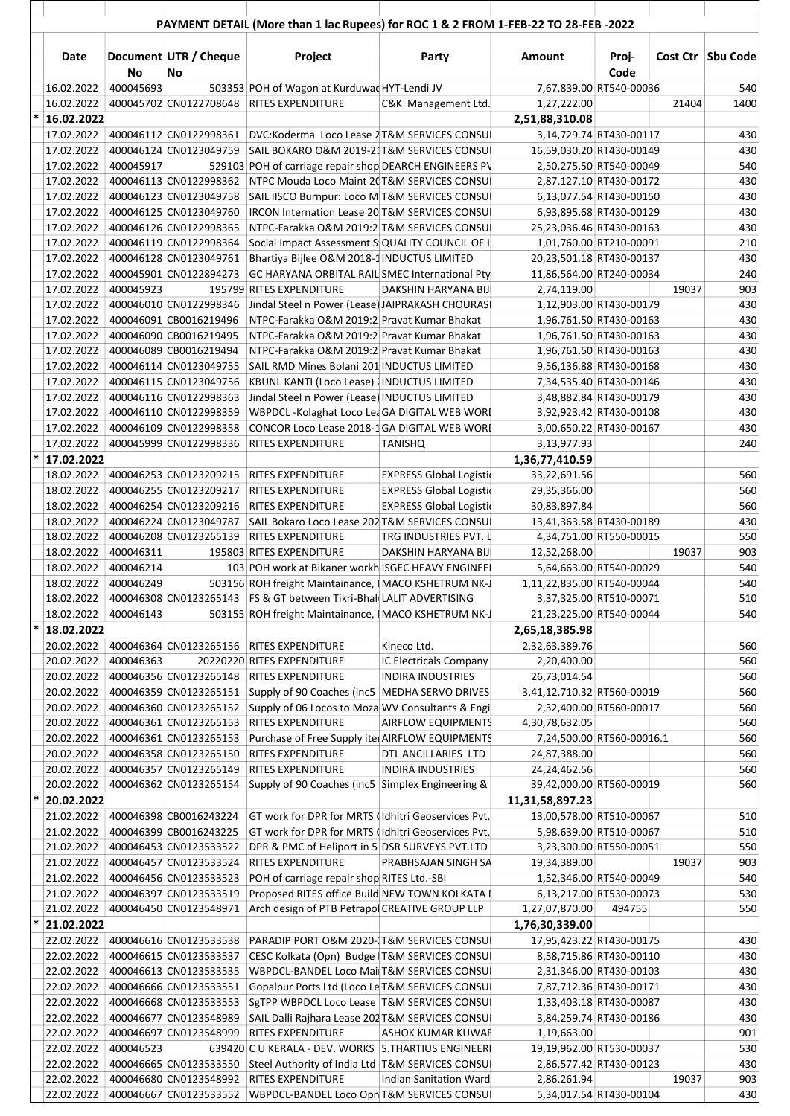|        |                          |           |                                                  | PAYMENT DETAIL (More than 1 lac Rupees) for ROC 1 & 2 FROM 1-FEB-22 TO 28-FEB -2022          |                                |                                                     |        |       |                   |
|--------|--------------------------|-----------|--------------------------------------------------|----------------------------------------------------------------------------------------------|--------------------------------|-----------------------------------------------------|--------|-------|-------------------|
|        |                          |           |                                                  |                                                                                              |                                |                                                     |        |       |                   |
|        | Date                     |           | Document UTR / Cheque                            | Project                                                                                      | Party                          | Amount                                              | Proj-  |       | Cost Ctr Sbu Code |
|        |                          | No        | No                                               |                                                                                              |                                |                                                     | Code   |       |                   |
|        | 16.02.2022<br>16.02.2022 | 400045693 | 400045702 CN0122708648                           | 503353 POH of Wagon at Kurduwac HYT-Lendi JV<br><b>RITES EXPENDITURE</b>                     | C&K Management Ltd.            | 7,67,839.00 RT540-00036<br>1,27,222.00              |        | 21404 | 540<br>1400       |
| $\ast$ | 16.02.2022               |           |                                                  |                                                                                              |                                | 2,51,88,310.08                                      |        |       |                   |
|        |                          |           | 17.02.2022 400046112 CN0122998361                | DVC:Koderma Loco Lease 2 T&M SERVICES CONSU                                                  |                                | 3,14,729.74 RT430-00117                             |        |       | 430               |
|        |                          |           | 17.02.2022   400046124 CN0123049759              | SAIL BOKARO O&M 2019-21 T&M SERVICES CONSU                                                   |                                | 16,59,030.20 RT430-00149                            |        |       | 430               |
|        | 17.02.2022               | 400045917 |                                                  | 529103 POH of carriage repair shop DEARCH ENGINEERS PV                                       |                                | 2,50,275.50 RT540-00049                             |        |       | 540               |
|        | 17.02.2022<br>17.02.2022 |           | 400046113 CN0122998362<br>400046123 CN0123049758 | NTPC Mouda Loco Maint 20 T&M SERVICES CONSU<br>SAIL IISCO Burnpur: Loco M T&M SERVICES CONSU |                                | 2,87,127.10 RT430-00172<br>6,13,077.54 RT430-00150  |        |       | 430<br>430        |
|        | 17.02.2022               |           | 400046125 CN0123049760                           | IRCON Internation Lease 20 T&M SERVICES CONSU                                                |                                | 6,93,895.68 RT430-00129                             |        |       | 430               |
|        | 17.02.2022               |           | 400046126 CN0122998365                           | NTPC-Farakka O&M 2019:2 T&M SERVICES CONSU                                                   |                                | 25,23,036.46 RT430-00163                            |        |       | 430               |
|        | 17.02.2022               |           | 400046119 CN0122998364                           | Social Impact Assessment S QUALITY COUNCIL OF I                                              |                                | 1,01,760.00 RT210-00091                             |        |       | 210               |
|        | 17.02.2022               |           | 400046128 CN0123049761                           | Bhartiya Bijlee O&M 2018-1 INDUCTUS LIMITED                                                  |                                | 20,23,501.18 RT430-00137                            |        |       | 430               |
|        | 17.02.2022               |           | 400045901 CN0122894273                           | GC HARYANA ORBITAL RAIL SMEC International Pty                                               |                                | 11,86,564.00 RT240-00034                            |        |       | 240               |
|        | 17.02.2022<br>17.02.2022 | 400045923 | 400046010 CN0122998346                           | 195799 RITES EXPENDITURE<br>Jindal Steel n Power (Lease) JAIPRAKASH CHOURAS                  | <b>DAKSHIN HARYANA BIJ</b>     | 2,74,119.00<br>1,12,903.00 RT430-00179              |        | 19037 | 903<br>430        |
|        | 17.02.2022               |           | 400046091 CB0016219496                           | NTPC-Farakka O&M 2019:2 Pravat Kumar Bhakat                                                  |                                | 1,96,761.50 RT430-00163                             |        |       | 430               |
|        | 17.02.2022               |           | 400046090 CB0016219495                           | NTPC-Farakka O&M 2019:2 Pravat Kumar Bhakat                                                  |                                | 1,96,761.50 RT430-00163                             |        |       | 430               |
|        | 17.02.2022               |           | 400046089 CB0016219494                           | NTPC-Farakka O&M 2019:2 Pravat Kumar Bhakat                                                  |                                | 1,96,761.50 RT430-00163                             |        |       | 430               |
|        | 17.02.2022               |           | 400046114 CN0123049755                           | SAIL RMD Mines Bolani 201 INDUCTUS LIMITED                                                   |                                | 9,56,136.88 RT430-00168                             |        |       | 430               |
|        | 17.02.2022               |           | 400046115 CN0123049756                           | KBUNL KANTI (Loco Lease) INDUCTUS LIMITED                                                    |                                | 7,34,535.40 RT430-00146                             |        |       | 430               |
|        | 17.02.2022<br>17.02.2022 |           | 400046116 CN0122998363<br>400046110 CN0122998359 | Jindal Steel n Power (Lease) INDUCTUS LIMITED<br>WBPDCL-Kolaghat Loco LeaGA DIGITAL WEB WORL |                                | 3,48,882.84 RT430-00179<br>3,92,923.42 RT430-00108  |        |       | 430<br>430        |
|        | 17.02.2022               |           | 400046109 CN0122998358                           | CONCOR Loco Lease 2018-1 GA DIGITAL WEB WORL                                                 |                                | 3,00,650.22 RT430-00167                             |        |       | 430               |
|        | 17.02.2022               |           | 400045999 CN0122998336                           | <b>RITES EXPENDITURE</b>                                                                     | <b>TANISHQ</b>                 | 3,13,977.93                                         |        |       | 240               |
| $\ast$ | 17.02.2022               |           |                                                  |                                                                                              |                                | 1,36,77,410.59                                      |        |       |                   |
|        | 18.02.2022               |           |                                                  | 400046253 CN0123209215 RITES EXPENDITURE                                                     | <b>EXPRESS Global Logistic</b> | 33,22,691.56                                        |        |       | 560               |
|        | 18.02.2022               |           | 400046255 CN0123209217                           | <b>RITES EXPENDITURE</b>                                                                     | <b>EXPRESS Global Logistic</b> | 29,35,366.00                                        |        |       | 560               |
|        | 18.02.2022               |           | 400046254 CN0123209216<br>400046224 CN0123049787 | <b>RITES EXPENDITURE</b>                                                                     | <b>EXPRESS Global Logistic</b> | 30,83,897.84                                        |        |       | 560               |
|        | 18.02.2022<br>18.02.2022 |           | 400046208 CN0123265139                           | SAIL Bokaro Loco Lease 202 T&M SERVICES CONSU<br><b>RITES EXPENDITURE</b>                    | TRG INDUSTRIES PVT. L          | 13,41,363.58 RT430-00189<br>4,34,751.00 RT550-00015 |        |       | 430<br>550        |
|        | 18.02.2022               | 400046311 |                                                  | 195803 RITES EXPENDITURE                                                                     | DAKSHIN HARYANA BIJ            | 12,52,268.00                                        |        | 19037 | 903               |
|        | 18.02.2022               | 400046214 |                                                  | 103 POH work at Bikaner workh ISGEC HEAVY ENGINEE                                            |                                | 5,64,663.00 RT540-00029                             |        |       | 540               |
|        | 18.02.2022               | 400046249 |                                                  | 503156 ROH freight Maintainance, I MACO KSHETRUM NK-J                                        |                                | 1,11,22,835.00 RT540-00044                          |        |       | 540               |
|        | 18.02.2022               |           |                                                  | 400046308 CN0123265143 FS & GT between Tikri-Bhal LALIT ADVERTISING                          |                                | 3,37,325.00 RT510-00071                             |        |       | 510               |
|        | 18.02.2022               | 400046143 |                                                  | 503155 ROH freight Maintainance, I MACO KSHETRUM NK-J                                        |                                | 21,23,225.00 RT540-00044                            |        |       | 540               |
|        | 18.02.2022<br>20.02.2022 |           | 400046364 CN0123265156                           | <b>RITES EXPENDITURE</b>                                                                     | Kineco Ltd.                    | 2,65,18,385.98<br>2,32,63,389.76                    |        |       | 560               |
|        | 20.02.2022               | 400046363 |                                                  | 20220220 RITES EXPENDITURE                                                                   | IC Electricals Company         | 2,20,400.00                                         |        |       | 560               |
|        | 20.02.2022               |           | 400046356 CN0123265148                           | RITES EXPENDITURE                                                                            | <b>INDIRA INDUSTRIES</b>       | 26,73,014.54                                        |        |       | 560               |
|        | 20.02.2022               |           | 400046359 CN0123265151                           | Supply of 90 Coaches (inc5   MEDHA SERVO DRIVES                                              |                                | 3,41,12,710.32 RT560-00019                          |        |       | 560               |
|        | 20.02.2022               |           | 400046360 CN0123265152                           | Supply of 06 Locos to Moza WV Consultants & Engi                                             |                                | 2,32,400.00 RT560-00017                             |        |       | 560               |
|        | 20.02.2022               |           | 400046361 CN0123265153                           | <b>RITES EXPENDITURE</b>                                                                     | <b>AIRFLOW EQUIPMENTS</b>      | 4,30,78,632.05                                      |        |       | 560               |
|        | 20.02.2022<br>20.02.2022 |           | 400046361 CN0123265153<br>400046358 CN0123265150 | Purchase of Free Supply ite AIRFLOW EQUIPMENTS<br>RITES EXPENDITURE                          | DTL ANCILLARIES LTD            | 7,24,500.00 RT560-00016.1<br>24,87,388.00           |        |       | 560<br>560        |
|        | 20.02.2022               |           | 400046357 CN0123265149                           | RITES EXPENDITURE                                                                            | <b>INDIRA INDUSTRIES</b>       | 24,24,462.56                                        |        |       | 560               |
|        | 20.02.2022               |           | 400046362 CN0123265154                           | Supply of 90 Coaches (inc5 Simplex Engineering &                                             |                                | 39,42,000.00 RT560-00019                            |        |       | 560               |
| $\ast$ | 20.02.2022               |           |                                                  |                                                                                              |                                | 11,31,58,897.23                                     |        |       |                   |
|        | 21.02.2022               |           | 400046398 CB0016243224                           | GT work for DPR for MRTS (Idhitri Geoservices Pvt.                                           |                                | 13,00,578.00 RT510-00067                            |        |       | 510               |
|        | 21.02.2022               |           | 400046399 CB0016243225                           | GT work for DPR for MRTS (Idhitri Geoservices Pvt.                                           |                                | 5,98,639.00 RT510-00067                             |        |       | 510               |
|        | 21.02.2022<br>21.02.2022 |           | 400046453 CN0123533522<br>400046457 CN0123533524 | DPR & PMC of Heliport in 5 DSR SURVEYS PVT.LTD<br>RITES EXPENDITURE                          | PRABHSAJAN SINGH SA            | 3,23,300.00 RT550-00051<br>19,34,389.00             |        | 19037 | 550<br>903        |
|        | 21.02.2022               |           | 400046456 CN0123533523                           | POH of carriage repair shop RITES Ltd.-SBI                                                   |                                | 1,52,346.00 RT540-00049                             |        |       | 540               |
|        | 21.02.2022               |           | 400046397 CN0123533519                           | Proposed RITES office Build NEW TOWN KOLKATA I                                               |                                | 6,13,217.00 RT530-00073                             |        |       | 530               |
|        | 21.02.2022               |           | 400046450 CN0123548971                           | Arch design of PTB Petrapol CREATIVE GROUP LLP                                               |                                | 1,27,07,870.00                                      | 494755 |       | 550               |
| $\ast$ | 21.02.2022               |           |                                                  |                                                                                              |                                | 1,76,30,339.00                                      |        |       |                   |
|        | 22.02.2022               |           | 400046616 CN0123533538                           | PARADIP PORT O&M 2020-T&M SERVICES CONSU                                                     |                                | 17,95,423.22 RT430-00175                            |        |       | 430               |
|        | 22.02.2022<br>22.02.2022 |           | 400046615 CN0123533537<br>400046613 CN0123533535 | CESC Kolkata (Opn) Budge   T&M SERVICES CONSU<br>WBPDCL-BANDEL Loco Mai T&M SERVICES CONSU   |                                | 8,58,715.86 RT430-00110<br>2,31,346.00 RT430-00103  |        |       | 430<br>430        |
|        | 22.02.2022               |           | 400046666 CN0123533551                           | Gopalpur Ports Ltd (Loco Le T&M SERVICES CONSU                                               |                                | 7,87,712.36 RT430-00171                             |        |       | 430               |
|        | 22.02.2022               |           | 400046668 CN0123533553                           | SgTPP WBPDCL Loco Lease T&M SERVICES CONSU                                                   |                                | 1,33,403.18 RT430-00087                             |        |       | 430               |
|        | 22.02.2022               |           | 400046677 CN0123548989                           | SAIL Dalli Rajhara Lease 202 T&M SERVICES CONSU                                              |                                | 3,84,259.74 RT430-00186                             |        |       | 430               |
|        | 22.02.2022               |           | 400046697 CN0123548999                           | RITES EXPENDITURE                                                                            | <b>ASHOK KUMAR KUWAF</b>       | 1,19,663.00                                         |        |       | 901               |
|        | 22.02.2022               | 400046523 |                                                  | 639420 C U KERALA - DEV. WORKS S.THARTIUS ENGINEER                                           |                                | 19,19,962.00 RT530-00037                            |        |       | 530               |
|        | 22.02.2022<br>22.02.2022 |           | 400046665 CN0123533550<br>400046680 CN0123548992 | Steel Authority of India Ltd T&M SERVICES CONSU<br>RITES EXPENDITURE                         | <b>Indian Sanitation Ward</b>  | 2,86,577.42 RT430-00123<br>2,86,261.94              |        | 19037 | 430<br>903        |
|        | 22.02.2022               |           | 400046667 CN0123533552                           | WBPDCL-BANDEL Loco Opn T&M SERVICES CONSU                                                    |                                | 5,34,017.54 RT430-00104                             |        |       | 430               |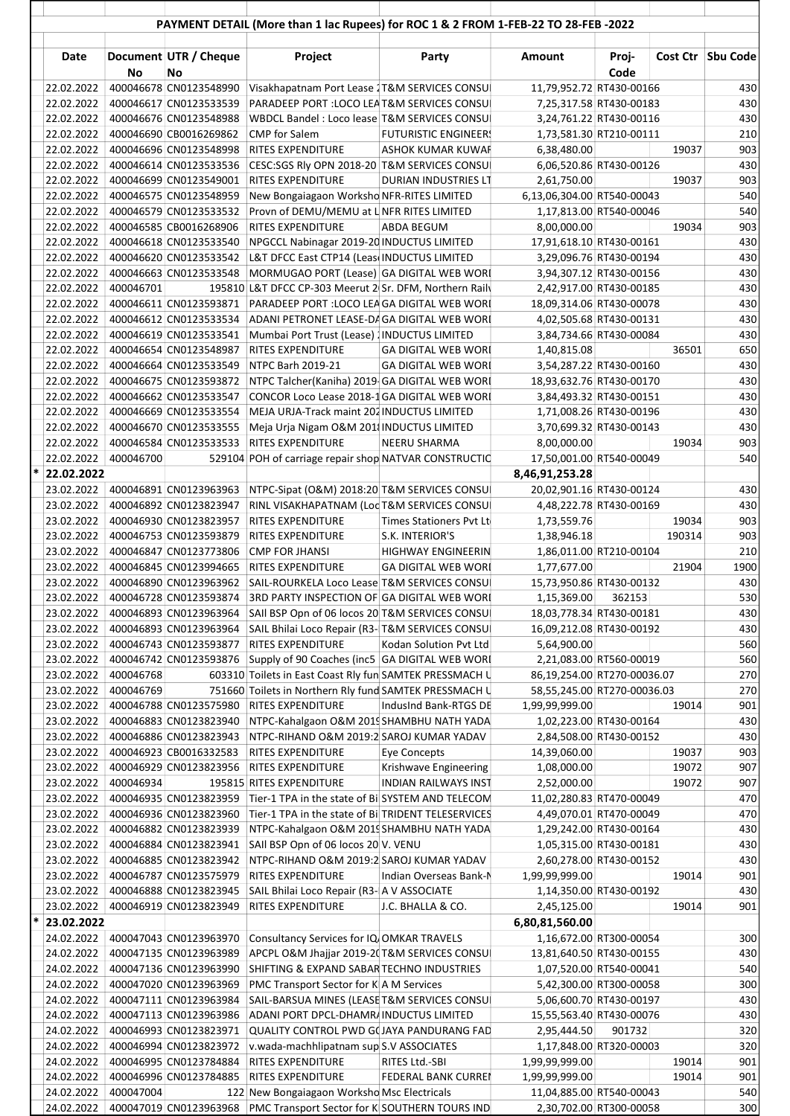|        |            |           |                                     | PAYMENT DETAIL (More than 1 lac Rupees) for ROC 1 & 2 FROM 1-FEB-22 TO 28-FEB -2022 |                             |                             |                         |        |                   |
|--------|------------|-----------|-------------------------------------|-------------------------------------------------------------------------------------|-----------------------------|-----------------------------|-------------------------|--------|-------------------|
|        | Date       | <b>No</b> | Document UTR / Cheque<br>No         | Project                                                                             | Party                       | Amount                      | Proj-<br>Code           |        | Cost Ctr Sbu Code |
|        | 22.02.2022 |           | 400046678 CN0123548990              | Visakhapatnam Port Lease 1T&M SERVICES CONSU                                        |                             | 11,79,952.72 RT430-00166    |                         |        | 430               |
|        | 22.02.2022 |           | 400046617 CN0123533539              | PARADEEP PORT : LOCO LEA T&M SERVICES CONSU                                         |                             | 7,25,317.58 RT430-00183     |                         |        | 430               |
|        |            |           | 22.02.2022   400046676 CN0123548988 | WBDCL Bandel: Loco lease T&M SERVICES CONSU                                         |                             | 3,24,761.22 RT430-00116     |                         |        | 430               |
|        |            |           | 22.02.2022   400046690 CB0016269862 | <b>CMP</b> for Salem                                                                | <b>FUTURISTIC ENGINEER!</b> | 1,73,581.30 RT210-00111     |                         |        | 210               |
|        |            |           | 22.02.2022   400046696 CN0123548998 | RITES EXPENDITURE                                                                   | <b>ASHOK KUMAR KUWAF</b>    | 6,38,480.00                 |                         | 19037  | 903               |
|        | 22.02.2022 |           | 400046614 CN0123533536              | CESC:SGS Rly OPN 2018-20 T&M SERVICES CONSU                                         |                             | 6,06,520.86 RT430-00126     |                         |        | 430               |
|        | 22.02.2022 |           | 400046699 CN0123549001              | RITES EXPENDITURE                                                                   | <b>DURIAN INDUSTRIES LT</b> | 2,61,750.00                 |                         | 19037  | 903               |
|        | 22.02.2022 |           | 400046575 CN0123548959              | New Bongaiagaon Worksho NFR-RITES LIMITED                                           |                             | 6,13,06,304.00 RT540-00043  |                         |        | 540               |
|        | 22.02.2022 |           | 400046579 CN0123533532              | Provn of DEMU/MEMU at L NFR RITES LIMITED                                           |                             |                             | 1,17,813.00 RT540-00046 |        | 540               |
|        | 22.02.2022 |           | 400046585 CB0016268906              | RITES EXPENDITURE                                                                   | <b>ABDA BEGUM</b>           | 8,00,000.00                 |                         | 19034  | 903               |
|        | 22.02.2022 |           | 400046618 CN0123533540              | NPGCCL Nabinagar 2019-20 INDUCTUS LIMITED                                           |                             | 17,91,618.10 RT430-00161    |                         |        | 430               |
|        | 22.02.2022 |           | 400046620 CN0123533542              | L&T DFCC East CTP14 (Leas INDUCTUS LIMITED                                          |                             | 3,29,096.76 RT430-00194     |                         |        | 430               |
|        | 22.02.2022 |           | 400046663 CN0123533548              | MORMUGAO PORT (Lease) GA DIGITAL WEB WORL                                           |                             |                             | 3,94,307.12 RT430-00156 |        | 430               |
|        | 22.02.2022 | 400046701 |                                     | 195810 L&T DFCC CP-303 Meerut 2 Sr. DFM, Northern Raily                             |                             |                             | 2,42,917.00 RT430-00185 |        | 430               |
|        | 22.02.2022 |           | 400046611 CN0123593871              | PARADEEP PORT : LOCO LEA GA DIGITAL WEB WORL                                        |                             | 18,09,314.06 RT430-00078    |                         |        | 430               |
|        | 22.02.2022 |           | 400046612 CN0123533534              | ADANI PETRONET LEASE-D/ GA DIGITAL WEB WORL                                         |                             | 4,02,505.68 RT430-00131     |                         |        | 430               |
|        | 22.02.2022 |           | 400046619 CN0123533541              | Mumbai Port Trust (Lease) INDUCTUS LIMITED                                          |                             | 3,84,734.66 RT430-00084     |                         |        | 430               |
|        | 22.02.2022 |           | 400046654 CN0123548987              | RITES EXPENDITURE                                                                   | <b>GA DIGITAL WEB WORL</b>  | 1,40,815.08                 |                         | 36501  | 650               |
|        | 22.02.2022 |           | 400046664 CN0123533549              | NTPC Barh 2019-21                                                                   | <b>GA DIGITAL WEB WORL</b>  | 3,54,287.22 RT430-00160     |                         |        | 430               |
|        |            |           | 22.02.2022 400046675 CN0123593872   | NTPC Talcher(Kaniha) 2019 GA DIGITAL WEB WORL                                       |                             | 18,93,632.76 RT430-00170    |                         |        | 430               |
|        | 22.02.2022 |           | 400046662 CN0123533547              | CONCOR Loco Lease 2018-1 GA DIGITAL WEB WORL                                        |                             | 3,84,493.32 RT430-00151     |                         |        | 430               |
|        | 22.02.2022 |           | 400046669 CN0123533554              | MEJA URJA-Track maint 202 INDUCTUS LIMITED                                          |                             | 1,71,008.26 RT430-00196     |                         |        | 430               |
|        | 22.02.2022 |           | 400046670 CN0123533555              | Meja Urja Nigam O&M 201 INDUCTUS LIMITED                                            |                             | 3,70,699.32 RT430-00143     |                         |        | 430               |
|        | 22.02.2022 |           | 400046584 CN0123533533              | <b>RITES EXPENDITURE</b>                                                            | <b>NEERU SHARMA</b>         | 8,00,000.00                 |                         | 19034  | 903               |
|        | 22.02.2022 | 400046700 |                                     | 529104 POH of carriage repair shop NATVAR CONSTRUCTIO                               |                             | 17,50,001.00 RT540-00049    |                         |        | 540               |
|        | 22.02.2022 |           |                                     |                                                                                     |                             | 8,46,91,253.28              |                         |        |                   |
|        | 23.02.2022 |           | 400046891 CN0123963963              | NTPC-Sipat (O&M) 2018:20 T&M SERVICES CONSU                                         |                             | 20,02,901.16 RT430-00124    |                         |        | 430               |
|        | 23.02.2022 |           | 400046892 CN0123823947              | RINL VISAKHAPATNAM (Loc T&M SERVICES CONSU)                                         |                             | 4,48,222.78 RT430-00169     |                         |        | 430               |
|        | 23.02.2022 |           | 400046930 CN0123823957              | RITES EXPENDITURE                                                                   | Times Stationers Pvt Lt     | 1,73,559.76                 |                         | 19034  | 903               |
|        | 23.02.2022 |           | 400046753 CN0123593879              | RITES EXPENDITURE                                                                   | S.K. INTERIOR'S             | 1,38,946.18                 |                         | 190314 | 903               |
|        | 23.02.2022 |           | 400046847 CN0123773806              | <b>CMP FOR JHANSI</b>                                                               | <b>HIGHWAY ENGINEERIN</b>   | 1,86,011.00 RT210-00104     |                         |        | 210               |
|        | 23.02.2022 |           | 400046845 CN0123994665              | RITES EXPENDITURE                                                                   | <b>GA DIGITAL WEB WORL</b>  | 1,77,677.00                 |                         | 21904  | 1900              |
|        | 23.02.2022 |           | 400046890 CN0123963962              | SAIL-ROURKELA Loco Lease T&M SERVICES CONSU                                         |                             | 15,73,950.86 RT430-00132    |                         |        | 430               |
|        | 23.02.2022 |           | 400046728 CN0123593874              | 3RD PARTY INSPECTION OF GA DIGITAL WEB WORL                                         |                             | 1,15,369.00                 | 362153                  |        | 530               |
|        | 23.02.2022 |           | 400046893 CN0123963964              | SAII BSP Opn of 06 locos 20 T&M SERVICES CONSU                                      |                             | 18,03,778.34 RT430-00181    |                         |        | 430               |
|        | 23.02.2022 |           | 400046893 CN0123963964              | SAIL Bhilai Loco Repair (R3-T&M SERVICES CONSU                                      |                             | 16,09,212.08 RT430-00192    |                         |        | 430               |
|        | 23.02.2022 |           | 400046743 CN0123593877              | RITES EXPENDITURE                                                                   | Kodan Solution Pvt Ltd      | 5,64,900.00                 |                         |        | 560               |
|        | 23.02.2022 |           | 400046742 CN0123593876              | Supply of 90 Coaches (inc5 GA DIGITAL WEB WORI                                      |                             | 2,21,083.00 RT560-00019     |                         |        | 560               |
|        | 23.02.2022 | 400046768 |                                     | 603310 Toilets in East Coast Rly fun SAMTEK PRESSMACH U                             |                             | 86,19,254.00 RT270-00036.07 |                         |        | 270               |
|        | 23.02.2022 | 400046769 |                                     | 751660 Toilets in Northern Rly fund SAMTEK PRESSMACH U                              |                             | 58,55,245.00 RT270-00036.03 |                         |        | 270               |
|        | 23.02.2022 |           | 400046788 CN0123575980              | RITES EXPENDITURE                                                                   | IndusInd Bank-RTGS DE       | 1,99,99,999.00              |                         | 19014  | 901               |
|        | 23.02.2022 |           | 400046883 CN0123823940              | NTPC-Kahalgaon O&M 2019 SHAMBHU NATH YADA                                           |                             |                             | 1,02,223.00 RT430-00164 |        | 430               |
|        | 23.02.2022 |           | 400046886 CN0123823943              | NTPC-RIHAND O&M 2019:2 SAROJ KUMAR YADAV                                            |                             | 2,84,508.00 RT430-00152     |                         |        | 430               |
|        | 23.02.2022 |           | 400046923 CB0016332583              | RITES EXPENDITURE                                                                   | <b>Eye Concepts</b>         | 14,39,060.00                |                         | 19037  | 903               |
|        | 23.02.2022 |           | 400046929 CN0123823956              | RITES EXPENDITURE                                                                   | Krishwave Engineering       | 1,08,000.00                 |                         | 19072  | 907               |
|        | 23.02.2022 | 400046934 |                                     | 195815 RITES EXPENDITURE                                                            | <b>INDIAN RAILWAYS INST</b> | 2,52,000.00                 |                         | 19072  | 907               |
|        | 23.02.2022 |           | 400046935 CN0123823959              | Tier-1 TPA in the state of BilSYSTEM AND TELECOM                                    |                             | 11,02,280.83 RT470-00049    |                         |        | 470               |
|        | 23.02.2022 |           | 400046936 CN0123823960              | Tier-1 TPA in the state of BilTRIDENT TELESERVICES                                  |                             | 4,49,070.01 RT470-00049     |                         |        | 470               |
|        | 23.02.2022 |           | 400046882 CN0123823939              | NTPC-Kahalgaon O&M 2019 SHAMBHU NATH YADA                                           |                             |                             | 1,29,242.00 RT430-00164 |        | 430               |
|        | 23.02.2022 |           | 400046884 CN0123823941              | SAII BSP Opn of 06 locos 20 V. VENU                                                 |                             | 1,05,315.00 RT430-00181     |                         |        | 430               |
|        | 23.02.2022 |           | 400046885 CN0123823942              | NTPC-RIHAND O&M 2019:2 SAROJ KUMAR YADAV                                            |                             | 2,60,278.00 RT430-00152     |                         |        | 430               |
|        | 23.02.2022 |           | 400046787 CN0123575979              | RITES EXPENDITURE                                                                   | Indian Overseas Bank-N      | 1,99,99,999.00              |                         | 19014  | 901               |
|        | 23.02.2022 |           | 400046888 CN0123823945              | SAIL Bhilai Loco Repair (R3-  A V ASSOCIATE                                         |                             |                             | 1,14,350.00 RT430-00192 |        | 430               |
|        | 23.02.2022 |           | 400046919 CN0123823949              | RITES EXPENDITURE                                                                   | J.C. BHALLA & CO.           | 2,45,125.00                 |                         | 19014  | 901               |
| $\ast$ | 23.02.2022 |           |                                     |                                                                                     |                             |                             |                         |        |                   |
|        |            |           |                                     |                                                                                     |                             | 6,80,81,560.00              |                         |        |                   |
|        |            |           | 24.02.2022 400047043 CN0123963970   | Consultancy Services for IQ OMKAR TRAVELS                                           |                             |                             | 1,16,672.00 RT300-00054 |        | 300               |
|        | 24.02.2022 |           | 400047135 CN0123963989              | APCPL O&M Jhajjar 2019-2(T&M SERVICES CONSU                                         |                             | 13,81,640.50 RT430-00155    |                         |        | 430               |
|        | 24.02.2022 |           | 400047136 CN0123963990              | SHIFTING & EXPAND SABAR TECHNO INDUSTRIES                                           |                             | 1,07,520.00 RT540-00041     |                         |        | 540               |
|        | 24.02.2022 |           | 400047020 CN0123963969              | <b>PMC Transport Sector for KA M Services</b>                                       |                             | 5,42,300.00 RT300-00058     |                         |        | 300               |
|        | 24.02.2022 |           | 400047111 CN0123963984              | SAIL-BARSUA MINES (LEASE T&M SERVICES CONSU                                         |                             | 5,06,600.70 RT430-00197     |                         |        | 430               |
|        | 24.02.2022 |           | 400047113 CN0123963986              | ADANI PORT DPCL-DHAMR/INDUCTUS LIMITED                                              |                             | 15,55,563.40 RT430-00076    |                         |        | 430               |
|        | 24.02.2022 |           | 400046993 CN0123823971              | QUALITY CONTROL PWD G(JAYA PANDURANG FAD                                            |                             | 2,95,444.50                 | 901732                  |        | 320               |
|        | 24.02.2022 |           | 400046994 CN0123823972              | v.wada-machhlipatnam sup S.V ASSOCIATES                                             |                             | 1,17,848.00 RT320-00003     |                         |        | 320               |
|        | 24.02.2022 |           | 400046995 CN0123784884              | RITES EXPENDITURE                                                                   | RITES Ltd.-SBI              | 1,99,99,999.00              |                         | 19014  | 901               |
|        | 24.02.2022 |           | 400046996 CN0123784885              | <b>RITES EXPENDITURE</b>                                                            | <b>FEDERAL BANK CURREI</b>  | 1,99,99,999.00              |                         | 19014  | 901               |
|        | 24.02.2022 | 400047004 |                                     | 122 New Bongaiagaon Worksho Msc Electricals                                         |                             | 11,04,885.00 RT540-00043    |                         |        | 540               |
|        | 24.02.2022 |           | 400047019 CN0123963968              | PMC Transport Sector for K SOUTHERN TOURS IND                                       |                             |                             | 2,30,702.00 RT300-00058 |        | 300               |